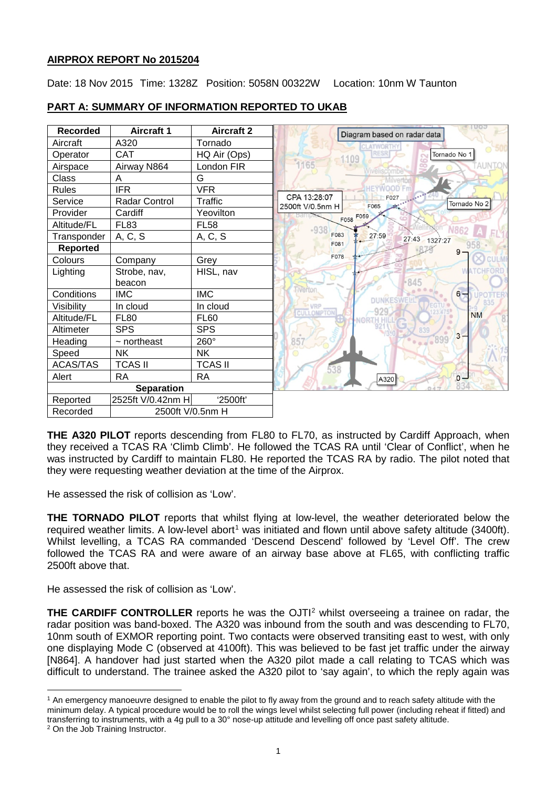# **AIRPROX REPORT No 2015204**

Date: 18 Nov 2015 Time: 1328Z Position: 5058N 00322W Location: 10nm W Taunton



# **PART A: SUMMARY OF INFORMATION REPORTED TO UKAB**

**THE A320 PILOT** reports descending from FL80 to FL70, as instructed by Cardiff Approach, when they received a TCAS RA 'Climb Climb'. He followed the TCAS RA until 'Clear of Conflict', when he was instructed by Cardiff to maintain FL80. He reported the TCAS RA by radio. The pilot noted that they were requesting weather deviation at the time of the Airprox.

He assessed the risk of collision as 'Low'.

**THE TORNADO PILOT** reports that whilst flying at low-level, the weather deteriorated below the required weather limits. A low-level abort<sup>[1](#page-0-0)</sup> was initiated and flown until above safety altitude (3400ft). Whilst levelling, a TCAS RA commanded 'Descend Descend' followed by 'Level Off'. The crew followed the TCAS RA and were aware of an airway base above at FL65, with conflicting traffic 2500ft above that.

He assessed the risk of collision as 'Low'.

**THE CARDIFF CONTROLLER** reports he was the OJTI<sup>[2](#page-0-1)</sup> whilst overseeing a trainee on radar, the radar position was band-boxed. The A320 was inbound from the south and was descending to FL70, 10nm south of EXMOR reporting point. Two contacts were observed transiting east to west, with only one displaying Mode C (observed at 4100ft). This was believed to be fast jet traffic under the airway [N864]. A handover had just started when the A320 pilot made a call relating to TCAS which was difficult to understand. The trainee asked the A320 pilot to 'say again', to which the reply again was

<span id="page-0-0"></span> $\overline{\phantom{a}}$ <sup>1</sup> An emergency manoeuvre designed to enable the pilot to fly away from the ground and to reach safety altitude with the minimum delay. A typical procedure would be to roll the wings level whilst selecting full power (including reheat if fitted) and transferring to instruments, with a 4g pull to a 30° nose-up attitude and levelling off once past safety altitude.

<span id="page-0-1"></span><sup>2</sup> On the Job Training Instructor.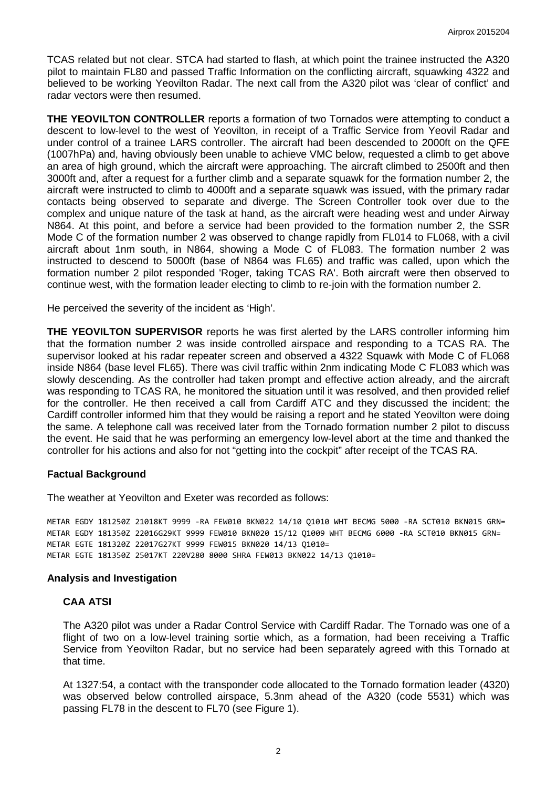TCAS related but not clear. STCA had started to flash, at which point the trainee instructed the A320 pilot to maintain FL80 and passed Traffic Information on the conflicting aircraft, squawking 4322 and believed to be working Yeovilton Radar. The next call from the A320 pilot was 'clear of conflict' and radar vectors were then resumed.

**THE YEOVILTON CONTROLLER** reports a formation of two Tornados were attempting to conduct a descent to low-level to the west of Yeovilton, in receipt of a Traffic Service from Yeovil Radar and under control of a trainee LARS controller. The aircraft had been descended to 2000ft on the QFE (1007hPa) and, having obviously been unable to achieve VMC below, requested a climb to get above an area of high ground, which the aircraft were approaching. The aircraft climbed to 2500ft and then 3000ft and, after a request for a further climb and a separate squawk for the formation number 2, the aircraft were instructed to climb to 4000ft and a separate squawk was issued, with the primary radar contacts being observed to separate and diverge. The Screen Controller took over due to the complex and unique nature of the task at hand, as the aircraft were heading west and under Airway N864. At this point, and before a service had been provided to the formation number 2, the SSR Mode C of the formation number 2 was observed to change rapidly from FL014 to FL068, with a civil aircraft about 1nm south, in N864, showing a Mode C of FL083. The formation number 2 was instructed to descend to 5000ft (base of N864 was FL65) and traffic was called, upon which the formation number 2 pilot responded 'Roger, taking TCAS RA'. Both aircraft were then observed to continue west, with the formation leader electing to climb to re-join with the formation number 2.

He perceived the severity of the incident as 'High'.

**THE YEOVILTON SUPERVISOR** reports he was first alerted by the LARS controller informing him that the formation number 2 was inside controlled airspace and responding to a TCAS RA. The supervisor looked at his radar repeater screen and observed a 4322 Squawk with Mode C of FL068 inside N864 (base level FL65). There was civil traffic within 2nm indicating Mode C FL083 which was slowly descending. As the controller had taken prompt and effective action already, and the aircraft was responding to TCAS RA, he monitored the situation until it was resolved, and then provided relief for the controller. He then received a call from Cardiff ATC and they discussed the incident; the Cardiff controller informed him that they would be raising a report and he stated Yeovilton were doing the same. A telephone call was received later from the Tornado formation number 2 pilot to discuss the event. He said that he was performing an emergency low-level abort at the time and thanked the controller for his actions and also for not "getting into the cockpit" after receipt of the TCAS RA.

#### **Factual Background**

The weather at Yeovilton and Exeter was recorded as follows:

METAR EGDY 181250Z 21018KT 9999 -RA FEW010 BKN022 14/10 Q1010 WHT BECMG 5000 -RA SCT010 BKN015 GRN= METAR EGDY 181350Z 22016G29KT 9999 FEW010 BKN020 15/12 Q1009 WHT BECMG 6000 -RA SCT010 BKN015 GRN= METAR EGTE 181320Z 22017G27KT 9999 FEW015 BKN020 14/13 Q1010= METAR EGTE 181350Z 25017KT 220V280 8000 SHRA FEW013 BKN022 14/13 Q1010=

#### **Analysis and Investigation**

#### **CAA ATSI**

The A320 pilot was under a Radar Control Service with Cardiff Radar. The Tornado was one of a flight of two on a low-level training sortie which, as a formation, had been receiving a Traffic Service from Yeovilton Radar, but no service had been separately agreed with this Tornado at that time.

At 1327:54, a contact with the transponder code allocated to the Tornado formation leader (4320) was observed below controlled airspace, 5.3nm ahead of the A320 (code 5531) which was passing FL78 in the descent to FL70 (see Figure 1).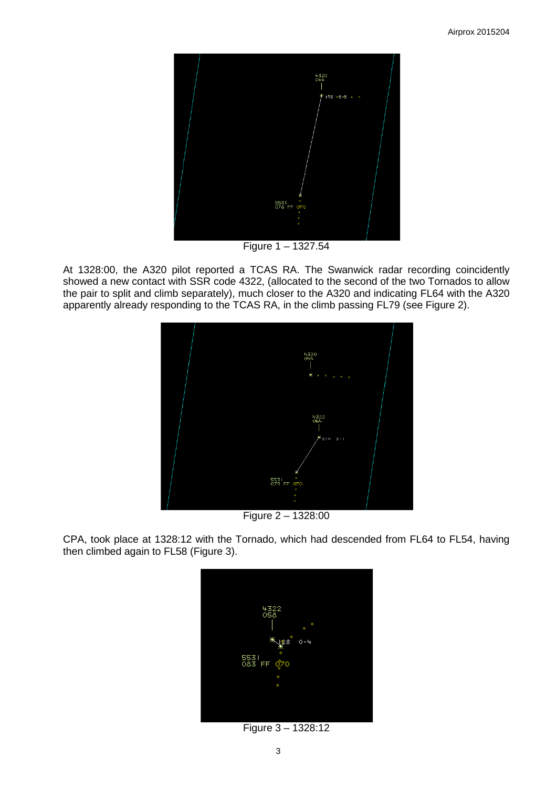

Figure 1 – 1327.54

At 1328:00, the A320 pilot reported a TCAS RA. The Swanwick radar recording coincidently showed a new contact with SSR code 4322, (allocated to the second of the two Tornados to allow the pair to split and climb separately), much closer to the A320 and indicating FL64 with the A320 apparently already responding to the TCAS RA, in the climb passing FL79 (see Figure 2).



Figure 2 – 1328:00

CPA, took place at 1328:12 with the Tornado, which had descended from FL64 to FL54, having then climbed again to FL58 (Figure 3).



Figure 3 – 1328:12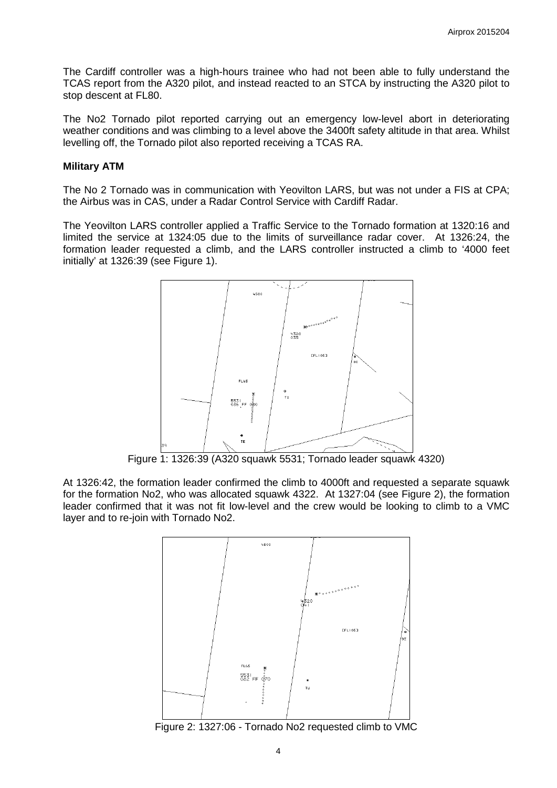The Cardiff controller was a high-hours trainee who had not been able to fully understand the TCAS report from the A320 pilot, and instead reacted to an STCA by instructing the A320 pilot to stop descent at FL80.

The No2 Tornado pilot reported carrying out an emergency low-level abort in deteriorating weather conditions and was climbing to a level above the 3400ft safety altitude in that area. Whilst levelling off, the Tornado pilot also reported receiving a TCAS RA.

#### **Military ATM**

The No 2 Tornado was in communication with Yeovilton LARS, but was not under a FIS at CPA; the Airbus was in CAS, under a Radar Control Service with Cardiff Radar.

The Yeovilton LARS controller applied a Traffic Service to the Tornado formation at 1320:16 and limited the service at 1324:05 due to the limits of surveillance radar cover. At 1326:24, the formation leader requested a climb, and the LARS controller instructed a climb to '4000 feet initially' at 1326:39 (see Figure 1).



Figure 1: 1326:39 (A320 squawk 5531; Tornado leader squawk 4320)

At 1326:42, the formation leader confirmed the climb to 4000ft and requested a separate squawk for the formation No2, who was allocated squawk 4322. At 1327:04 (see Figure 2), the formation leader confirmed that it was not fit low-level and the crew would be looking to climb to a VMC layer and to re-join with Tornado No2.



Figure 2: 1327:06 - Tornado No2 requested climb to VMC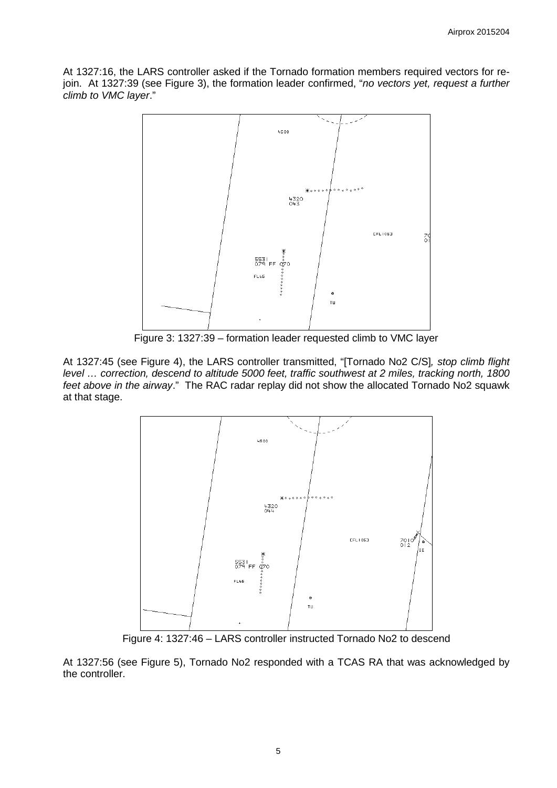At 1327:16, the LARS controller asked if the Tornado formation members required vectors for rejoin. At 1327:39 (see Figure 3), the formation leader confirmed, "*no vectors yet, request a further climb to VMC layer*."



Figure 3: 1327:39 – formation leader requested climb to VMC layer

At 1327:45 (see Figure 4), the LARS controller transmitted, "[Tornado No2 C/S]*, stop climb flight level … correction, descend to altitude 5000 feet, traffic southwest at 2 miles, tracking north, 1800 feet above in the airway*." The RAC radar replay did not show the allocated Tornado No2 squawk at that stage.



Figure 4: 1327:46 – LARS controller instructed Tornado No2 to descend

At 1327:56 (see Figure 5), Tornado No2 responded with a TCAS RA that was acknowledged by the controller.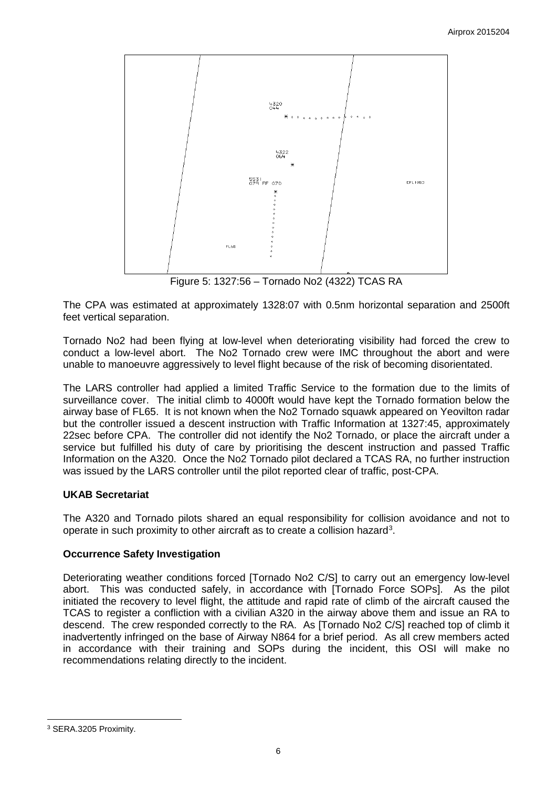

The CPA was estimated at approximately 1328:07 with 0.5nm horizontal separation and 2500ft feet vertical separation.

Tornado No2 had been flying at low-level when deteriorating visibility had forced the crew to conduct a low-level abort. The No2 Tornado crew were IMC throughout the abort and were unable to manoeuvre aggressively to level flight because of the risk of becoming disorientated.

The LARS controller had applied a limited Traffic Service to the formation due to the limits of surveillance cover. The initial climb to 4000ft would have kept the Tornado formation below the airway base of FL65. It is not known when the No2 Tornado squawk appeared on Yeovilton radar but the controller issued a descent instruction with Traffic Information at 1327:45, approximately 22sec before CPA. The controller did not identify the No2 Tornado, or place the aircraft under a service but fulfilled his duty of care by prioritising the descent instruction and passed Traffic Information on the A320. Once the No2 Tornado pilot declared a TCAS RA, no further instruction was issued by the LARS controller until the pilot reported clear of traffic, post-CPA.

# **UKAB Secretariat**

The A320 and Tornado pilots shared an equal responsibility for collision avoidance and not to operate in such proximity to other aircraft as to create a collision hazard<sup>[3](#page-5-0)</sup>.

### **Occurrence Safety Investigation**

Deteriorating weather conditions forced [Tornado No2 C/S] to carry out an emergency low-level abort. This was conducted safely, in accordance with [Tornado Force SOPs]. As the pilot initiated the recovery to level flight, the attitude and rapid rate of climb of the aircraft caused the TCAS to register a confliction with a civilian A320 in the airway above them and issue an RA to descend. The crew responded correctly to the RA. As [Tornado No2 C/S] reached top of climb it inadvertently infringed on the base of Airway N864 for a brief period. As all crew members acted in accordance with their training and SOPs during the incident, this OSI will make no recommendations relating directly to the incident.

 $\overline{\phantom{a}}$ 

<span id="page-5-0"></span><sup>3</sup> SERA.3205 Proximity.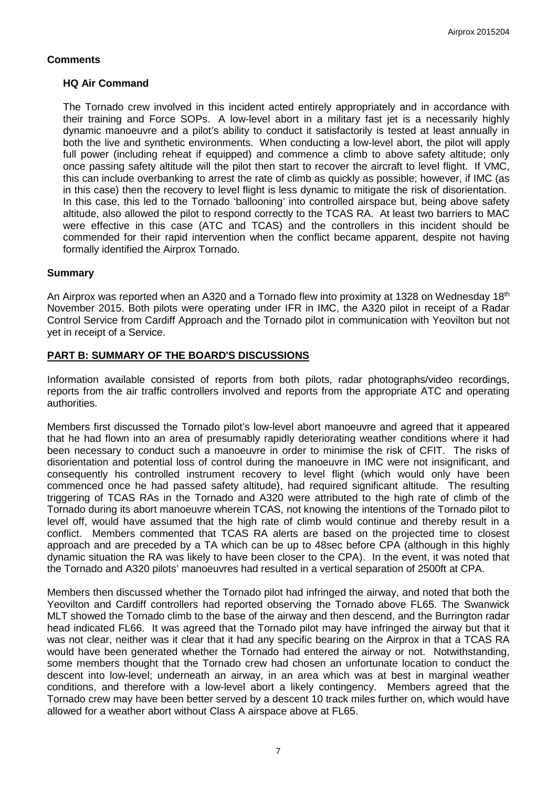# **Comments**

# **HQ Air Command**

The Tornado crew involved in this incident acted entirely appropriately and in accordance with their training and Force SOPs. A low-level abort in a military fast jet is a necessarily highly dynamic manoeuvre and a pilot's ability to conduct it satisfactorily is tested at least annually in both the live and synthetic environments. When conducting a low-level abort, the pilot will apply full power (including reheat if equipped) and commence a climb to above safety altitude; only once passing safety altitude will the pilot then start to recover the aircraft to level flight. If VMC, this can include overbanking to arrest the rate of climb as quickly as possible; however, if IMC (as in this case) then the recovery to level flight is less dynamic to mitigate the risk of disorientation. In this case, this led to the Tornado 'ballooning' into controlled airspace but, being above safety altitude, also allowed the pilot to respond correctly to the TCAS RA. At least two barriers to MAC were effective in this case (ATC and TCAS) and the controllers in this incident should be commended for their rapid intervention when the conflict became apparent, despite not having formally identified the Airprox Tornado.

### **Summary**

An Airprox was reported when an A320 and a Tornado flew into proximity at 1328 on Wednesday 18<sup>th</sup> November 2015. Both pilots were operating under IFR in IMC, the A320 pilot in receipt of a Radar Control Service from Cardiff Approach and the Tornado pilot in communication with Yeovilton but not yet in receipt of a Service.

### **PART B: SUMMARY OF THE BOARD'S DISCUSSIONS**

Information available consisted of reports from both pilots, radar photographs/video recordings, reports from the air traffic controllers involved and reports from the appropriate ATC and operating authorities.

Members first discussed the Tornado pilot's low-level abort manoeuvre and agreed that it appeared that he had flown into an area of presumably rapidly deteriorating weather conditions where it had been necessary to conduct such a manoeuvre in order to minimise the risk of CFIT. The risks of disorientation and potential loss of control during the manoeuvre in IMC were not insignificant, and consequently his controlled instrument recovery to level flight (which would only have been commenced once he had passed safety altitude), had required significant altitude. The resulting triggering of TCAS RAs in the Tornado and A320 were attributed to the high rate of climb of the Tornado during its abort manoeuvre wherein TCAS, not knowing the intentions of the Tornado pilot to level off, would have assumed that the high rate of climb would continue and thereby result in a conflict. Members commented that TCAS RA alerts are based on the projected time to closest approach and are preceded by a TA which can be up to 48sec before CPA (although in this highly dynamic situation the RA was likely to have been closer to the CPA). In the event, it was noted that the Tornado and A320 pilots' manoeuvres had resulted in a vertical separation of 2500ft at CPA.

Members then discussed whether the Tornado pilot had infringed the airway, and noted that both the Yeovilton and Cardiff controllers had reported observing the Tornado above FL65. The Swanwick MLT showed the Tornado climb to the base of the airway and then descend, and the Burrington radar head indicated FL66. It was agreed that the Tornado pilot may have infringed the airway but that it was not clear, neither was it clear that it had any specific bearing on the Airprox in that a TCAS RA would have been generated whether the Tornado had entered the airway or not. Notwithstanding, some members thought that the Tornado crew had chosen an unfortunate location to conduct the descent into low-level; underneath an airway, in an area which was at best in marginal weather conditions, and therefore with a low-level abort a likely contingency. Members agreed that the Tornado crew may have been better served by a descent 10 track miles further on, which would have allowed for a weather abort without Class A airspace above at FL65.